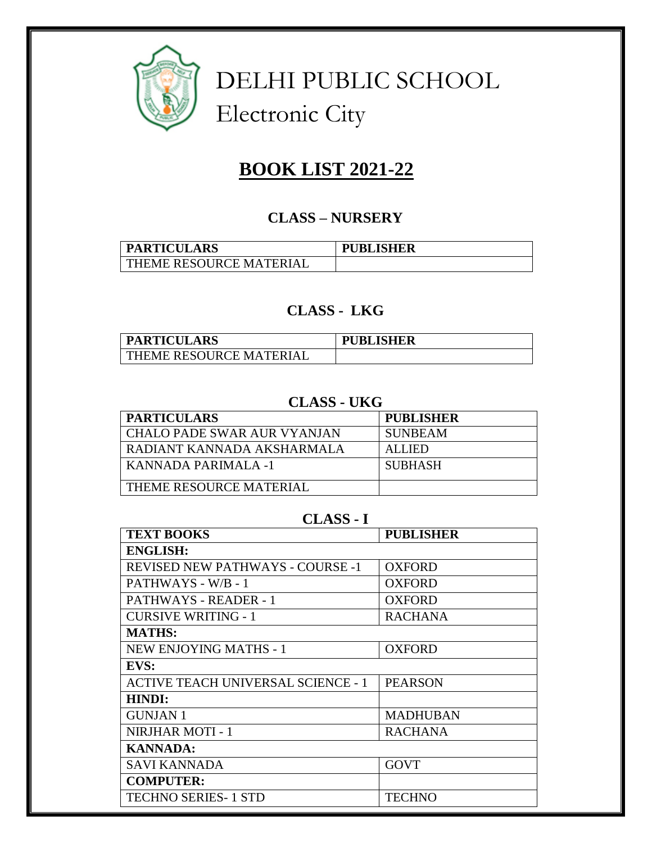

 DELHI PUBLIC SCHOOL Electronic City

# **BOOK LIST 2021-22**

#### **CLASS – NURSERY**

| <b>PARTICULARS</b>      | <b>PUBLISHER</b> |
|-------------------------|------------------|
| THEME RESOURCE MATERIAL |                  |

#### **CLASS - LKG**

| <b>PARTICULARS</b>             | <b>PUBLISHER</b> |
|--------------------------------|------------------|
| <b>THEME RESOURCE MATERIAL</b> |                  |

# **CLASS - UKG**

| <b>PARTICULARS</b>                 | <b>PUBLISHER</b> |
|------------------------------------|------------------|
| <b>CHALO PADE SWAR AUR VYANJAN</b> | <b>SUNBEAM</b>   |
| RADIANT KANNADA AKSHARMALA         | <b>ALLIED</b>    |
| KANNADA PARIMALA -1                | <b>SUBHASH</b>   |
| THEME RESOURCE MATERIAL            |                  |

#### **CLASS - I**

| <b>TEXT BOOKS</b>                         | <b>PUBLISHER</b> |  |
|-------------------------------------------|------------------|--|
| <b>ENGLISH:</b>                           |                  |  |
| <b>REVISED NEW PATHWAYS - COURSE -1</b>   | <b>OXFORD</b>    |  |
| PATHWAYS - W/B - 1                        | <b>OXFORD</b>    |  |
| PATHWAYS - READER - 1                     | <b>OXFORD</b>    |  |
| <b>CURSIVE WRITING - 1</b>                | <b>RACHANA</b>   |  |
| <b>MATHS:</b>                             |                  |  |
| <b>NEW ENJOYING MATHS - 1</b>             | <b>OXFORD</b>    |  |
| EVS:                                      |                  |  |
| <b>ACTIVE TEACH UNIVERSAL SCIENCE - 1</b> | <b>PEARSON</b>   |  |
| <b>HINDI:</b>                             |                  |  |
| <b>GUNJAN1</b>                            | <b>MADHUBAN</b>  |  |
| NIRJHAR MOTI - 1                          | <b>RACHANA</b>   |  |
| <b>KANNADA:</b>                           |                  |  |
| <b>SAVI KANNADA</b>                       | <b>GOVT</b>      |  |
| <b>COMPUTER:</b>                          |                  |  |
| <b>TECHNO SERIES- 1 STD</b>               | TECHNO           |  |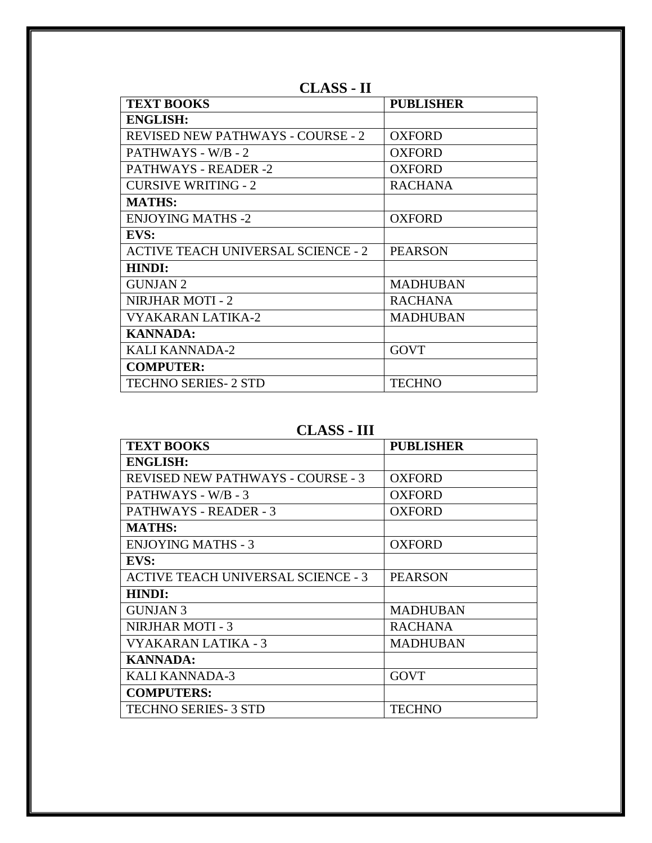| <b>TEXT BOOKS</b>                         | <b>PUBLISHER</b> |
|-------------------------------------------|------------------|
| <b>ENGLISH:</b>                           |                  |
| <b>REVISED NEW PATHWAYS - COURSE - 2</b>  | <b>OXFORD</b>    |
| PATHWAYS - W/B - 2                        | <b>OXFORD</b>    |
| <b>PATHWAYS - READER -2</b>               | <b>OXFORD</b>    |
| <b>CURSIVE WRITING - 2</b>                | <b>RACHANA</b>   |
| <b>MATHS:</b>                             |                  |
| <b>ENJOYING MATHS -2</b>                  | <b>OXFORD</b>    |
| EVS:                                      |                  |
| <b>ACTIVE TEACH UNIVERSAL SCIENCE - 2</b> | <b>PEARSON</b>   |
| <b>HINDI:</b>                             |                  |
| <b>GUNJAN 2</b>                           | <b>MADHUBAN</b>  |
| <b>NIRJHAR MOTI - 2</b>                   | <b>RACHANA</b>   |
| <b>VYAKARAN LATIKA-2</b>                  | <b>MADHUBAN</b>  |
| <b>KANNADA:</b>                           |                  |
| <b>KALI KANNADA-2</b>                     | <b>GOVT</b>      |
| <b>COMPUTER:</b>                          |                  |
| <b>TECHNO SERIES- 2 STD</b>               | <b>TECHNO</b>    |

**CLASS - II**

**CLASS - III**

| <b>TEXT BOOKS</b>                         | <b>PUBLISHER</b> |
|-------------------------------------------|------------------|
| <b>ENGLISH:</b>                           |                  |
| <b>REVISED NEW PATHWAYS - COURSE - 3</b>  | <b>OXFORD</b>    |
| PATHWAYS - W/B - 3                        | <b>OXFORD</b>    |
| PATHWAYS - READER - 3                     | <b>OXFORD</b>    |
| <b>MATHS:</b>                             |                  |
| <b>ENJOYING MATHS - 3</b>                 | <b>OXFORD</b>    |
| EVS:                                      |                  |
| <b>ACTIVE TEACH UNIVERSAL SCIENCE - 3</b> | <b>PEARSON</b>   |
| <b>HINDI:</b>                             |                  |
| <b>GUNJAN 3</b>                           | <b>MADHUBAN</b>  |
| <b>NIRJHAR MOTI - 3</b>                   | <b>RACHANA</b>   |
| VYAKARAN LATIKA - 3                       | <b>MADHUBAN</b>  |
| <b>KANNADA:</b>                           |                  |
| <b>KALI KANNADA-3</b>                     | <b>GOVT</b>      |
| <b>COMPUTERS:</b>                         |                  |
| <b>TECHNO SERIES-3 STD</b>                | TECHNO           |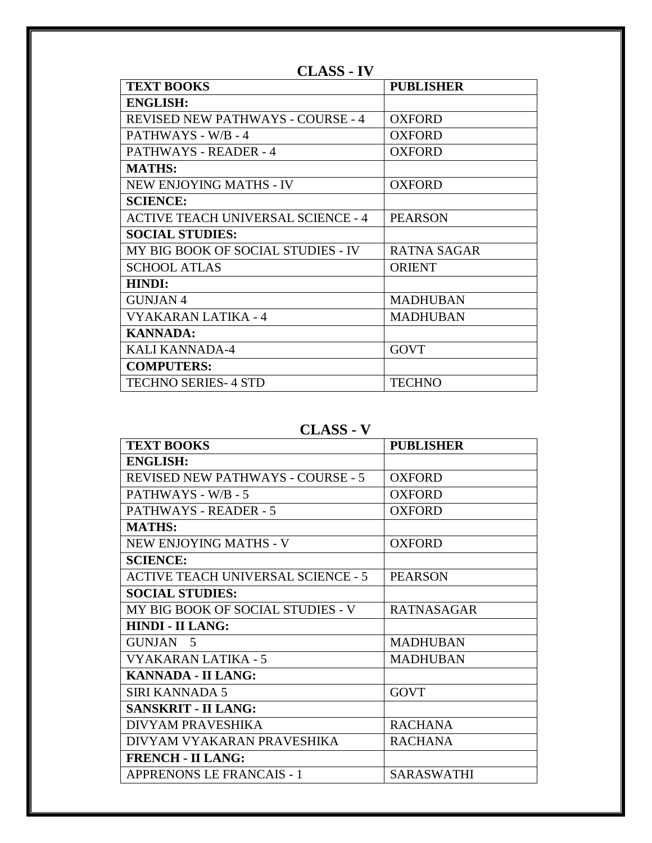| <b>TEXT BOOKS</b>                         | <b>PUBLISHER</b>   |
|-------------------------------------------|--------------------|
| <b>ENGLISH:</b>                           |                    |
| <b>REVISED NEW PATHWAYS - COURSE - 4</b>  | <b>OXFORD</b>      |
| PATHWAYS - W/B - 4                        | <b>OXFORD</b>      |
| PATHWAYS - READER - 4                     | <b>OXFORD</b>      |
| <b>MATHS:</b>                             |                    |
| <b>NEW ENJOYING MATHS - IV</b>            | <b>OXFORD</b>      |
| <b>SCIENCE:</b>                           |                    |
| <b>ACTIVE TEACH UNIVERSAL SCIENCE - 4</b> | <b>PEARSON</b>     |
| <b>SOCIAL STUDIES:</b>                    |                    |
| MY BIG BOOK OF SOCIAL STUDIES - IV        | <b>RATNA SAGAR</b> |
| <b>SCHOOL ATLAS</b>                       | <b>ORIENT</b>      |
| <b>HINDI:</b>                             |                    |
| GUNJAN 4                                  | <b>MADHUBAN</b>    |
| VYAKARAN LATIKA - 4                       | <b>MADHUBAN</b>    |
| <b>KANNADA:</b>                           |                    |
| <b>KALI KANNADA-4</b>                     | <b>GOVT</b>        |
| <b>COMPUTERS:</b>                         |                    |
| <b>TECHNO SERIES-4 STD</b>                | <b>TECHNO</b>      |
|                                           |                    |

**CLASS - IV**

#### **CLASS - V**

| <b>TEXT BOOKS</b>                         | <b>PUBLISHER</b>  |
|-------------------------------------------|-------------------|
| <b>ENGLISH:</b>                           |                   |
| <b>REVISED NEW PATHWAYS - COURSE - 5</b>  | <b>OXFORD</b>     |
| PATHWAYS - W/B - 5                        | <b>OXFORD</b>     |
| PATHWAYS - READER - 5                     | <b>OXFORD</b>     |
| <b>MATHS:</b>                             |                   |
| NEW ENJOYING MATHS - V                    | <b>OXFORD</b>     |
| <b>SCIENCE:</b>                           |                   |
| <b>ACTIVE TEACH UNIVERSAL SCIENCE - 5</b> | <b>PEARSON</b>    |
| <b>SOCIAL STUDIES:</b>                    |                   |
| MY BIG BOOK OF SOCIAL STUDIES - V         | <b>RATNASAGAR</b> |
| <b>HINDI - II LANG:</b>                   |                   |
| GUNJAN 5                                  | <b>MADHUBAN</b>   |
| VYAKARAN LATIKA - 5                       | <b>MADHUBAN</b>   |
| <b>KANNADA - II LANG:</b>                 |                   |
| <b>SIRI KANNADA 5</b>                     | <b>GOVT</b>       |
| <b>SANSKRIT - II LANG:</b>                |                   |
| DIVYAM PRAVESHIKA                         | <b>RACHANA</b>    |
| DIVYAM VYAKARAN PRAVESHIKA                | <b>RACHANA</b>    |
| <b>FRENCH - II LANG:</b>                  |                   |
| <b>APPRENONS LE FRANCAIS - 1</b>          | <b>SARASWATHI</b> |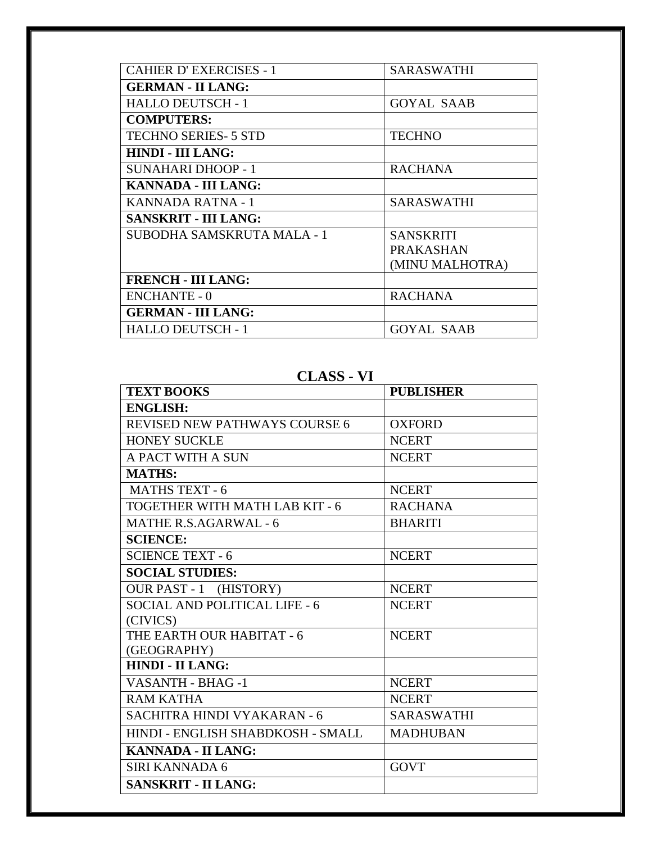| <b>CAHIER D'EXERCISES - 1</b> | SARASWATHI        |
|-------------------------------|-------------------|
| <b>GERMAN - II LANG:</b>      |                   |
| <b>HALLO DEUTSCH - 1</b>      | <b>GOYAL SAAB</b> |
| <b>COMPUTERS:</b>             |                   |
| <b>TECHNO SERIES- 5 STD</b>   | <b>TECHNO</b>     |
| <b>HINDI - III LANG:</b>      |                   |
| SUNAHARI DHOOP - 1            | <b>RACHANA</b>    |
| KANNADA - III LANG:           |                   |
| KANNADA RATNA - 1             | <b>SARASWATHI</b> |
| <b>SANSKRIT - III LANG:</b>   |                   |
| SUBODHA SAMSKRUTA MALA - 1    | <b>SANSKRITI</b>  |
|                               | <b>PRAKASHAN</b>  |
|                               | (MINU MALHOTRA)   |
| <b>FRENCH - III LANG:</b>     |                   |
| <b>ENCHANTE - 0</b>           | <b>RACHANA</b>    |
| <b>GERMAN - III LANG:</b>     |                   |
| <b>HALLO DEUTSCH - 1</b>      | GOYAL SAAB        |

# **CLASS - VI**

| <b>TEXT BOOKS</b>                    | <b>PUBLISHER</b>  |
|--------------------------------------|-------------------|
| <b>ENGLISH:</b>                      |                   |
| <b>REVISED NEW PATHWAYS COURSE 6</b> | <b>OXFORD</b>     |
| <b>HONEY SUCKLE</b>                  | <b>NCERT</b>      |
| A PACT WITH A SUN                    | <b>NCERT</b>      |
| <b>MATHS:</b>                        |                   |
| <b>MATHS TEXT - 6</b>                | <b>NCERT</b>      |
| TOGETHER WITH MATH LAB KIT - 6       | <b>RACHANA</b>    |
| <b>MATHE R.S.AGARWAL - 6</b>         | <b>BHARITI</b>    |
| <b>SCIENCE:</b>                      |                   |
| <b>SCIENCE TEXT - 6</b>              | <b>NCERT</b>      |
| <b>SOCIAL STUDIES:</b>               |                   |
| <b>OUR PAST - 1 (HISTORY)</b>        | <b>NCERT</b>      |
| SOCIAL AND POLITICAL LIFE - 6        | <b>NCERT</b>      |
| (CIVICS)                             |                   |
| THE EARTH OUR HABITAT - 6            | <b>NCERT</b>      |
| (GEOGRAPHY)                          |                   |
| <b>HINDI - II LANG:</b>              |                   |
| VASANTH - BHAG -1                    | <b>NCERT</b>      |
| <b>RAM KATHA</b>                     | <b>NCERT</b>      |
| SACHITRA HINDI VYAKARAN - 6          | <b>SARASWATHI</b> |
| HINDI - ENGLISH SHABDKOSH - SMALL    | <b>MADHUBAN</b>   |
| <b>KANNADA - II LANG:</b>            |                   |
| SIRI KANNADA 6                       | <b>GOVT</b>       |
| <b>SANSKRIT - II LANG:</b>           |                   |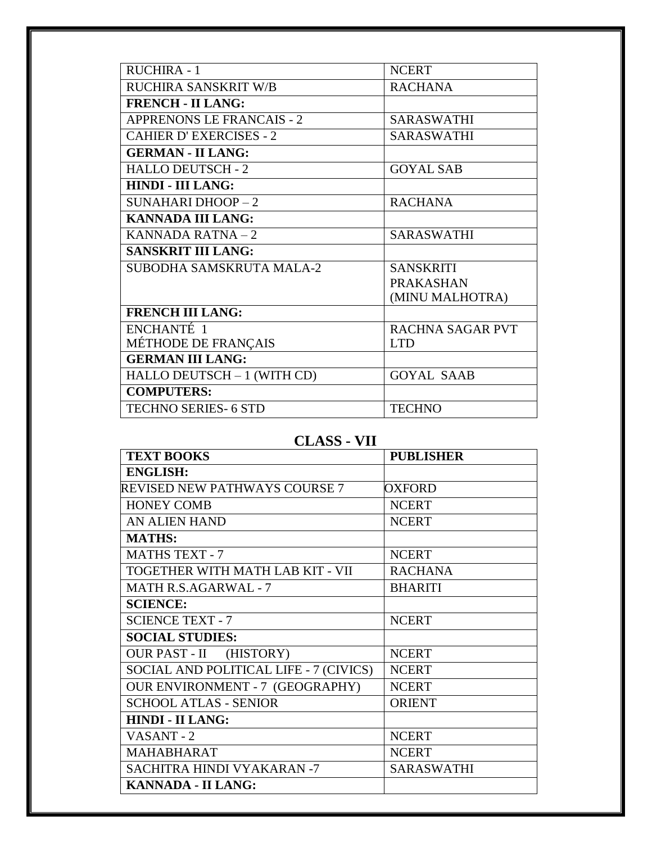| <b>RUCHIRA - 1</b>               | <b>NCERT</b>            |
|----------------------------------|-------------------------|
| RUCHIRA SANSKRIT W/B             | <b>RACHANA</b>          |
| <b>FRENCH - II LANG:</b>         |                         |
| <b>APPRENONS LE FRANCAIS - 2</b> | SARASWATHI              |
| <b>CAHIER D'EXERCISES - 2</b>    | <b>SARASWATHI</b>       |
| <b>GERMAN - II LANG:</b>         |                         |
| <b>HALLO DEUTSCH - 2</b>         | <b>GOYAL SAB</b>        |
| <b>HINDI - III LANG:</b>         |                         |
| <b>SUNAHARI DHOOP - 2</b>        | <b>RACHANA</b>          |
| <b>KANNADA III LANG:</b>         |                         |
| KANNADA RATNA-2                  | <b>SARASWATHI</b>       |
| <b>SANSKRIT III LANG:</b>        |                         |
| SUBODHA SAMSKRUTA MALA-2         | <b>SANSKRITI</b>        |
|                                  | <b>PRAKASHAN</b>        |
|                                  | (MINU MALHOTRA)         |
| <b>FRENCH III LANG:</b>          |                         |
| ENCHANTÉ <sub>1</sub>            | <b>RACHNA SAGAR PVT</b> |
| MÉTHODE DE FRANÇAIS              | <b>LTD</b>              |
| <b>GERMAN III LANG:</b>          |                         |
| HALLO DEUTSCH - 1 (WITH CD)      | <b>GOYAL SAAB</b>       |
| <b>COMPUTERS:</b>                |                         |
| <b>TECHNO SERIES- 6 STD</b>      | <b>TECHNO</b>           |
|                                  |                         |

## **CLASS - VII**

| <b>TEXT BOOKS</b>                      | <b>PUBLISHER</b> |
|----------------------------------------|------------------|
| <b>ENGLISH:</b>                        |                  |
| REVISED NEW PATHWAYS COURSE 7          | <b>OXFORD</b>    |
| <b>HONEY COMB</b>                      | <b>NCERT</b>     |
| <b>AN ALIEN HAND</b>                   | <b>NCERT</b>     |
| <b>MATHS:</b>                          |                  |
| <b>MATHS TEXT - 7</b>                  | <b>NCERT</b>     |
| TOGETHER WITH MATH LAB KIT - VII       | <b>RACHANA</b>   |
| <b>MATH R.S.AGARWAL - 7</b>            | <b>BHARITI</b>   |
| <b>SCIENCE:</b>                        |                  |
| <b>SCIENCE TEXT - 7</b>                | <b>NCERT</b>     |
| <b>SOCIAL STUDIES:</b>                 |                  |
| (HISTORY)<br>OUR PAST - II             | <b>NCERT</b>     |
| SOCIAL AND POLITICAL LIFE - 7 (CIVICS) | <b>NCERT</b>     |
| <b>OUR ENVIRONMENT - 7 (GEOGRAPHY)</b> | <b>NCERT</b>     |
| <b>SCHOOL ATLAS - SENIOR</b>           | <b>ORIENT</b>    |
| <b>HINDI - II LANG:</b>                |                  |
| VASANT-2                               | <b>NCERT</b>     |
| MAHABHARAT                             | <b>NCERT</b>     |
| SACHITRA HINDI VYAKARAN -7             | SARASWATHI       |
| <b>KANNADA - II LANG:</b>              |                  |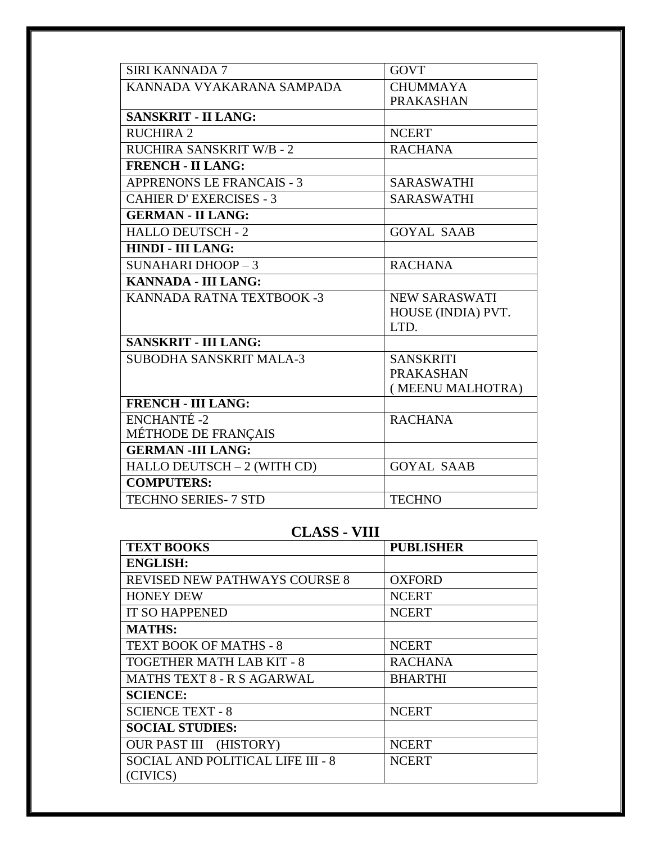| <b>SIRI KANNADA 7</b>            | <b>GOVT</b>          |
|----------------------------------|----------------------|
| KANNADA VYAKARANA SAMPADA        | <b>CHUMMAYA</b>      |
|                                  | <b>PRAKASHAN</b>     |
| <b>SANSKRIT - II LANG:</b>       |                      |
| <b>RUCHIRA 2</b>                 | <b>NCERT</b>         |
| <b>RUCHIRA SANSKRIT W/B - 2</b>  | <b>RACHANA</b>       |
| <b>FRENCH - II LANG:</b>         |                      |
| <b>APPRENONS LE FRANCAIS - 3</b> | <b>SARASWATHI</b>    |
| <b>CAHIER D'EXERCISES - 3</b>    | <b>SARASWATHI</b>    |
| <b>GERMAN - II LANG:</b>         |                      |
| <b>HALLO DEUTSCH - 2</b>         | <b>GOYAL SAAB</b>    |
| <b>HINDI - III LANG:</b>         |                      |
| <b>SUNAHARI DHOOP-3</b>          | <b>RACHANA</b>       |
| <b>KANNADA - III LANG:</b>       |                      |
| KANNADA RATNA TEXTBOOK -3        | <b>NEW SARASWATI</b> |
|                                  | HOUSE (INDIA) PVT.   |
|                                  | LTD.                 |
| <b>SANSKRIT - III LANG:</b>      |                      |
| <b>SUBODHA SANSKRIT MALA-3</b>   | <b>SANSKRITI</b>     |
|                                  | <b>PRAKASHAN</b>     |
|                                  | (MEENU MALHOTRA)     |
| <b>FRENCH - III LANG:</b>        |                      |
| ENCHANTÉ-2                       | <b>RACHANA</b>       |
| <b>MÉTHODE DE FRANÇAIS</b>       |                      |
| <b>GERMAN-III LANG:</b>          |                      |
| HALLO DEUTSCH - 2 (WITH CD)      | <b>GOYAL SAAB</b>    |
| <b>COMPUTERS:</b>                |                      |
| <b>TECHNO SERIES- 7 STD</b>      | <b>TECHNO</b>        |

## **CLASS - VIII**

| <b>TEXT BOOKS</b>                    | <b>PUBLISHER</b> |
|--------------------------------------|------------------|
| <b>ENGLISH:</b>                      |                  |
| <b>REVISED NEW PATHWAYS COURSE 8</b> | <b>OXFORD</b>    |
| <b>HONEY DEW</b>                     | <b>NCERT</b>     |
| <b>IT SO HAPPENED</b>                | <b>NCERT</b>     |
| <b>MATHS:</b>                        |                  |
| <b>TEXT BOOK OF MATHS - 8</b>        | <b>NCERT</b>     |
| <b>TOGETHER MATH LAB KIT - 8</b>     | <b>RACHANA</b>   |
| <b>MATHS TEXT 8 - R S AGARWAL</b>    | <b>BHARTHI</b>   |
| <b>SCIENCE:</b>                      |                  |
| <b>SCIENCE TEXT - 8</b>              | <b>NCERT</b>     |
| <b>SOCIAL STUDIES:</b>               |                  |
| <b>OUR PAST III (HISTORY)</b>        | <b>NCERT</b>     |
| SOCIAL AND POLITICAL LIFE III - 8    | <b>NCERT</b>     |
| (CIVICS)                             |                  |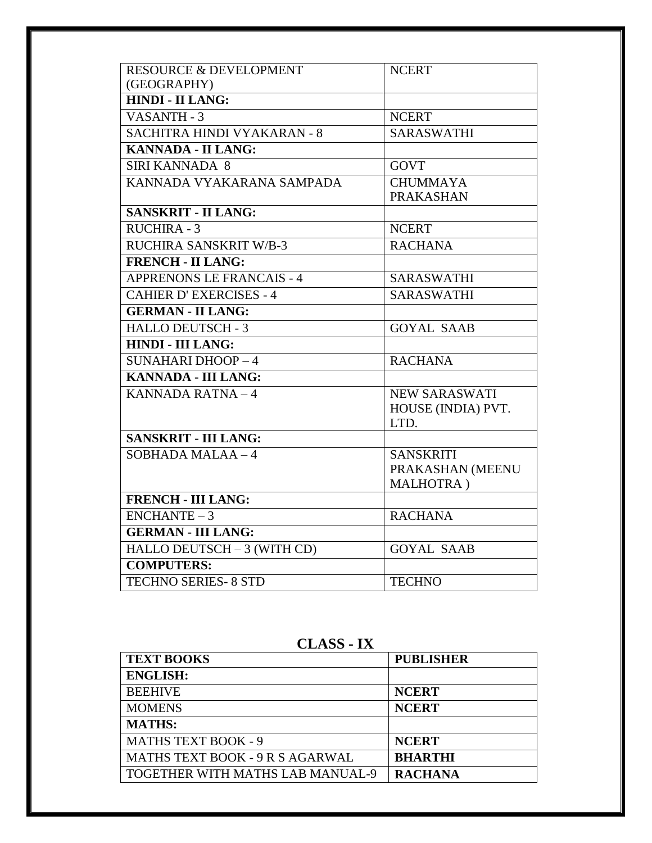| <b>RESOURCE &amp; DEVELOPMENT</b> | <b>NCERT</b>         |
|-----------------------------------|----------------------|
| (GEOGRAPHY)                       |                      |
| <b>HINDI - II LANG:</b>           |                      |
| VASANTH - 3                       | <b>NCERT</b>         |
| SACHITRA HINDI VYAKARAN - 8       | <b>SARASWATHI</b>    |
| KANNADA - II LANG:                |                      |
| <b>SIRI KANNADA 8</b>             | <b>GOVT</b>          |
| KANNADA VYAKARANA SAMPADA         | <b>CHUMMAYA</b>      |
|                                   | <b>PRAKASHAN</b>     |
| <b>SANSKRIT - II LANG:</b>        |                      |
| RUCHIRA - 3                       | <b>NCERT</b>         |
| RUCHIRA SANSKRIT W/B-3            | <b>RACHANA</b>       |
| <b>FRENCH - II LANG:</b>          |                      |
| <b>APPRENONS LE FRANCAIS - 4</b>  | <b>SARASWATHI</b>    |
| <b>CAHIER D'EXERCISES - 4</b>     | <b>SARASWATHI</b>    |
| <b>GERMAN - II LANG:</b>          |                      |
| <b>HALLO DEUTSCH - 3</b>          | <b>GOYAL SAAB</b>    |
| <b>HINDI - III LANG:</b>          |                      |
| <b>SUNAHARI DHOOP-4</b>           | <b>RACHANA</b>       |
| <b>KANNADA - III LANG:</b>        |                      |
| KANNADA RATNA-4                   | <b>NEW SARASWATI</b> |
|                                   | HOUSE (INDIA) PVT.   |
|                                   | LTD.                 |
| <b>SANSKRIT - III LANG:</b>       |                      |
| $SOBHADA MALAA - 4$               | <b>SANSKRITI</b>     |
|                                   | PRAKASHAN (MEENU     |
|                                   | MALHOTRA)            |
| <b>FRENCH - III LANG:</b>         |                      |
| $ENCHANTE-3$                      | <b>RACHANA</b>       |
| <b>GERMAN - III LANG:</b>         |                      |
| HALLO DEUTSCH - 3 (WITH CD)       | <b>GOYAL SAAB</b>    |
| <b>COMPUTERS:</b>                 |                      |
| <b>TECHNO SERIES- 8 STD</b>       | <b>TECHNO</b>        |

**CLASS - IX**

| <b>TEXT BOOKS</b>                      | <b>PUBLISHER</b> |
|----------------------------------------|------------------|
| <b>ENGLISH:</b>                        |                  |
| <b>BEEHIVE</b>                         | <b>NCERT</b>     |
| <b>MOMENS</b>                          | <b>NCERT</b>     |
| <b>MATHS:</b>                          |                  |
| <b>MATHS TEXT BOOK - 9</b>             | <b>NCERT</b>     |
| <b>MATHS TEXT BOOK - 9 R S AGARWAL</b> | <b>BHARTHI</b>   |
| TOGETHER WITH MATHS LAB MANUAL-9       | <b>RACHANA</b>   |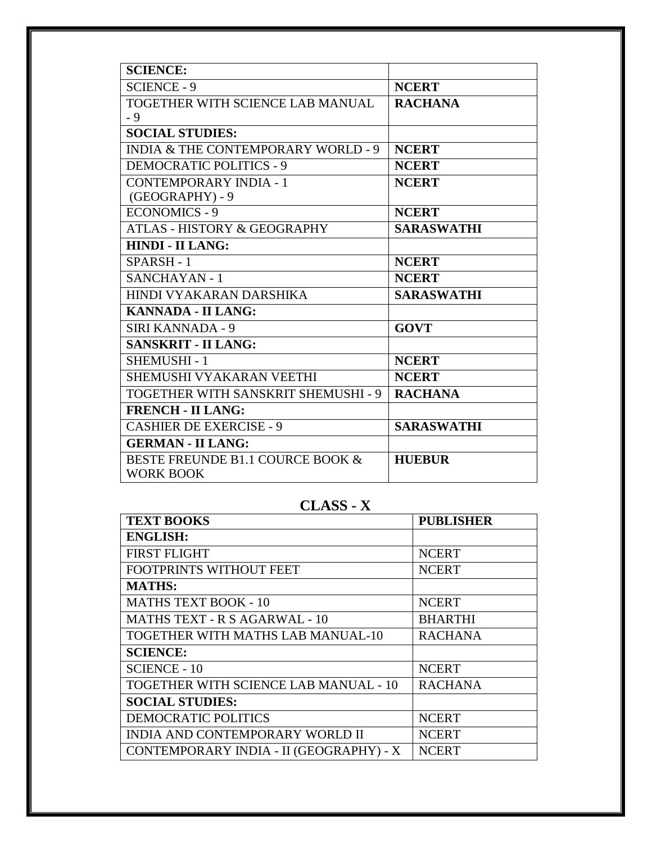| <b>SCIENCE:</b>                               |                   |
|-----------------------------------------------|-------------------|
| <b>SCIENCE - 9</b>                            | <b>NCERT</b>      |
| TOGETHER WITH SCIENCE LAB MANUAL              | <b>RACHANA</b>    |
| - 9                                           |                   |
| <b>SOCIAL STUDIES:</b>                        |                   |
| <b>INDIA &amp; THE CONTEMPORARY WORLD - 9</b> | <b>NCERT</b>      |
| <b>DEMOCRATIC POLITICS - 9</b>                | <b>NCERT</b>      |
| <b>CONTEMPORARY INDIA - 1</b>                 | <b>NCERT</b>      |
| (GEOGRAPHY) - 9                               |                   |
| <b>ECONOMICS - 9</b>                          | <b>NCERT</b>      |
| <b>ATLAS - HISTORY &amp; GEOGRAPHY</b>        | <b>SARASWATHI</b> |
| <b>HINDI - II LANG:</b>                       |                   |
| SPARSH-1                                      | <b>NCERT</b>      |
| <b>SANCHAYAN - 1</b>                          | <b>NCERT</b>      |
| HINDI VYAKARAN DARSHIKA                       | <b>SARASWATHI</b> |
| <b>KANNADA - II LANG:</b>                     |                   |
| <b>SIRI KANNADA - 9</b>                       | <b>GOVT</b>       |
| <b>SANSKRIT - II LANG:</b>                    |                   |
| <b>SHEMUSHI-1</b>                             | <b>NCERT</b>      |
| SHEMUSHI VYAKARAN VEETHI                      | <b>NCERT</b>      |
| TOGETHER WITH SANSKRIT SHEMUSHI - 9           | <b>RACHANA</b>    |
| <b>FRENCH - II LANG:</b>                      |                   |
| <b>CASHIER DE EXERCISE - 9</b>                | <b>SARASWATHI</b> |
| <b>GERMAN - II LANG:</b>                      |                   |
| BESTE FREUNDE B1.1 COURCE BOOK &              | <b>HUEBUR</b>     |
| <b>WORK BOOK</b>                              |                   |
|                                               |                   |

# **CLASS - X**

| <b>TEXT BOOKS</b>                       | <b>PUBLISHER</b> |
|-----------------------------------------|------------------|
| <b>ENGLISH:</b>                         |                  |
| <b>FIRST FLIGHT</b>                     | <b>NCERT</b>     |
| FOOTPRINTS WITHOUT FEET                 | <b>NCERT</b>     |
| <b>MATHS:</b>                           |                  |
| <b>MATHS TEXT BOOK - 10</b>             | <b>NCERT</b>     |
| <b>MATHS TEXT - R S AGARWAL - 10</b>    | <b>BHARTHI</b>   |
| TOGETHER WITH MATHS LAB MANUAL-10       | <b>RACHANA</b>   |
| <b>SCIENCE:</b>                         |                  |
| <b>SCIENCE - 10</b>                     | <b>NCERT</b>     |
| TOGETHER WITH SCIENCE LAB MANUAL - 10   | <b>RACHANA</b>   |
| <b>SOCIAL STUDIES:</b>                  |                  |
| DEMOCRATIC POLITICS                     | <b>NCERT</b>     |
| <b>INDIA AND CONTEMPORARY WORLD II</b>  | <b>NCERT</b>     |
| CONTEMPORARY INDIA - II (GEOGRAPHY) - X | <b>NCERT</b>     |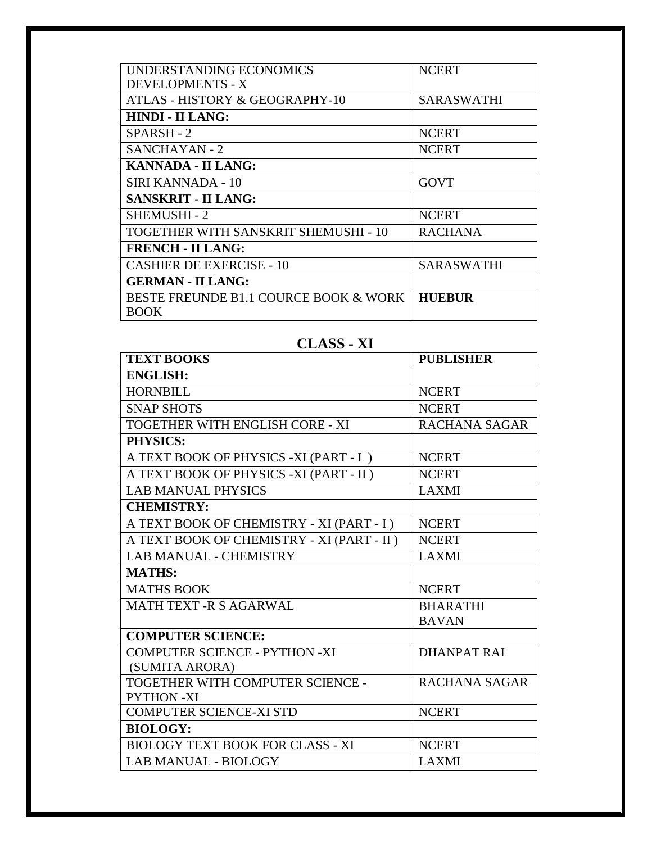| UNDERSTANDING ECONOMICS               | <b>NCERT</b>      |
|---------------------------------------|-------------------|
| DEVELOPMENTS - X                      |                   |
| ATLAS - HISTORY & GEOGRAPHY-10        | <b>SARASWATHI</b> |
| <b>HINDI - II LANG:</b>               |                   |
| SPARSH - 2                            | <b>NCERT</b>      |
| SANCHAYAN - 2                         | <b>NCERT</b>      |
| <b>KANNADA - II LANG:</b>             |                   |
| SIRI KANNADA - 10                     | <b>GOVT</b>       |
| <b>SANSKRIT - II LANG:</b>            |                   |
| <b>SHEMUSHI - 2</b>                   | <b>NCERT</b>      |
| TOGETHER WITH SANSKRIT SHEMUSHI - 10  | <b>RACHANA</b>    |
| <b>FRENCH - II LANG:</b>              |                   |
| CASHIER DE EXERCISE - 10              | SARASWATHI        |
| <b>GERMAN - II LANG:</b>              |                   |
| BESTE FREUNDE B1.1 COURCE BOOK & WORK | <b>HUEBUR</b>     |
| BOOK                                  |                   |

## **CLASS - XI**

| <b>TEXT BOOKS</b>                         | <b>PUBLISHER</b>     |
|-------------------------------------------|----------------------|
| <b>ENGLISH:</b>                           |                      |
| <b>HORNBILL</b>                           | <b>NCERT</b>         |
| <b>SNAP SHOTS</b>                         | <b>NCERT</b>         |
| TOGETHER WITH ENGLISH CORE - XI           | <b>RACHANA SAGAR</b> |
| <b>PHYSICS:</b>                           |                      |
| A TEXT BOOK OF PHYSICS -XI (PART - I)     | <b>NCERT</b>         |
| A TEXT BOOK OF PHYSICS -XI (PART - II)    | <b>NCERT</b>         |
| <b>LAB MANUAL PHYSICS</b>                 | <b>LAXMI</b>         |
| <b>CHEMISTRY:</b>                         |                      |
| A TEXT BOOK OF CHEMISTRY - XI (PART - I)  | <b>NCERT</b>         |
| A TEXT BOOK OF CHEMISTRY - XI (PART - II) | <b>NCERT</b>         |
| <b>LAB MANUAL - CHEMISTRY</b>             | <b>LAXMI</b>         |
| <b>MATHS:</b>                             |                      |
| <b>MATHS BOOK</b>                         | <b>NCERT</b>         |
| <b>MATH TEXT -R S AGARWAL</b>             | <b>BHARATHI</b>      |
|                                           | <b>BAVAN</b>         |
| <b>COMPUTER SCIENCE:</b>                  |                      |
| <b>COMPUTER SCIENCE - PYTHON -XI</b>      | <b>DHANPAT RAI</b>   |
| (SUMITA ARORA)                            |                      |
| TOGETHER WITH COMPUTER SCIENCE -          | <b>RACHANA SAGAR</b> |
| <b>PYTHON-XI</b>                          |                      |
| <b>COMPUTER SCIENCE-XI STD</b>            | <b>NCERT</b>         |
| <b>BIOLOGY:</b>                           |                      |
| <b>BIOLOGY TEXT BOOK FOR CLASS - XI</b>   | <b>NCERT</b>         |
| <b>LAB MANUAL - BIOLOGY</b>               | <b>LAXMI</b>         |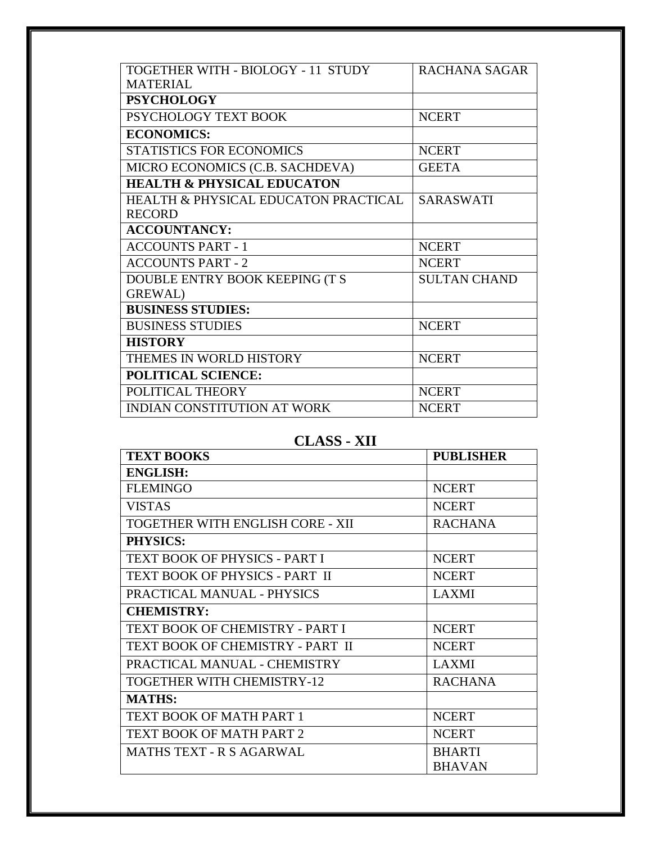| TOGETHER WITH - BIOLOGY - 11 STUDY              | RACHANA SAGAR       |
|-------------------------------------------------|---------------------|
| <b>MATERIAL</b>                                 |                     |
| <b>PSYCHOLOGY</b>                               |                     |
| PSYCHOLOGY TEXT BOOK                            | <b>NCERT</b>        |
| <b>ECONOMICS:</b>                               |                     |
| <b>STATISTICS FOR ECONOMICS</b>                 | <b>NCERT</b>        |
| MICRO ECONOMICS (C.B. SACHDEVA)                 | <b>GEETA</b>        |
| <b>HEALTH &amp; PHYSICAL EDUCATON</b>           |                     |
| <b>HEALTH &amp; PHYSICAL EDUCATON PRACTICAL</b> | <b>SARASWATI</b>    |
| <b>RECORD</b>                                   |                     |
| <b>ACCOUNTANCY:</b>                             |                     |
| <b>ACCOUNTS PART - 1</b>                        | <b>NCERT</b>        |
| <b>ACCOUNTS PART - 2</b>                        | <b>NCERT</b>        |
| DOUBLE ENTRY BOOK KEEPING (T S                  | <b>SULTAN CHAND</b> |
| <b>GREWAL</b> )                                 |                     |
| <b>BUSINESS STUDIES:</b>                        |                     |
| <b>BUSINESS STUDIES</b>                         | <b>NCERT</b>        |
| <b>HISTORY</b>                                  |                     |
| THEMES IN WORLD HISTORY                         | <b>NCERT</b>        |
| <b>POLITICAL SCIENCE:</b>                       |                     |
| POLITICAL THEORY                                | <b>NCERT</b>        |
| <b>INDIAN CONSTITUTION AT WORK</b>              | <b>NCERT</b>        |

# **CLASS - XII**

| <b>TEXT BOOKS</b>                | <b>PUBLISHER</b> |
|----------------------------------|------------------|
| <b>ENGLISH:</b>                  |                  |
| <b>FLEMINGO</b>                  | <b>NCERT</b>     |
| <b>VISTAS</b>                    | <b>NCERT</b>     |
| TOGETHER WITH ENGLISH CORE - XII | <b>RACHANA</b>   |
| <b>PHYSICS:</b>                  |                  |
| TEXT BOOK OF PHYSICS - PART I    | <b>NCERT</b>     |
| TEXT BOOK OF PHYSICS - PART II   | <b>NCERT</b>     |
| PRACTICAL MANUAL - PHYSICS       | <b>LAXMI</b>     |
| <b>CHEMISTRY:</b>                |                  |
| TEXT BOOK OF CHEMISTRY - PART I  | <b>NCERT</b>     |
| TEXT BOOK OF CHEMISTRY - PART II | <b>NCERT</b>     |
| PRACTICAL MANUAL - CHEMISTRY     | <b>LAXMI</b>     |
| TOGETHER WITH CHEMISTRY-12       | <b>RACHANA</b>   |
| <b>MATHS:</b>                    |                  |
| TEXT BOOK OF MATH PART 1         | <b>NCERT</b>     |
| TEXT BOOK OF MATH PART 2         | <b>NCERT</b>     |
| <b>MATHS TEXT - R S AGARWAL</b>  | <b>BHARTI</b>    |
|                                  | <b>BHAVAN</b>    |